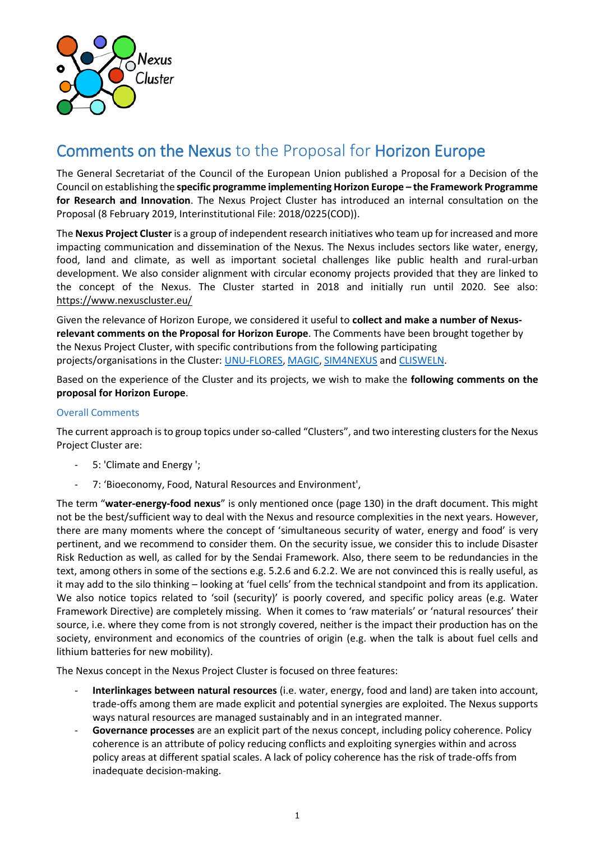

# Comments on the Nexus to the Proposal for Horizon Europe

The General Secretariat of the Council of the European Union published a Proposal for a Decision of the Council on establishing the **specific programme implementing Horizon Europe – the Framework Programme for Research and Innovation**. The Nexus Project Cluster has introduced an internal consultation on the Proposal (8 February 2019, Interinstitutional File: 2018/0225(COD)).

The **Nexus Project Cluster** is a group of independent research initiatives who team up for increased and more impacting communication and dissemination of the Nexus. The Nexus includes sectors like water, energy, food, land and climate, as well as important societal challenges like public health and rural-urban development. We also consider alignment with circular economy projects provided that they are linked to the concept of the Nexus. The Cluster started in 2018 and initially run until 2020. See also: <https://www.nexuscluster.eu/>

Given the relevance of Horizon Europe, we considered it useful to **collect and make a number of Nexusrelevant comments on the Proposal for Horizon Europe**. The Comments have been brought together by the Nexus Project Cluster, with specific contributions from the following participating projects/organisations in the Cluster[: UNU-FLORES,](https://flores.unu.edu/en/) [MAGIC,](https://magic-nexus.eu/) [SIM4NEXUS](http://www.sim4nexus.eu/) an[d CLISWELN.](https://www.hzg.de/ms/clisweln/index.php.en)

Based on the experience of the Cluster and its projects, we wish to make the **following comments on the proposal for Horizon Europe**.

## Overall Comments

The current approach is to group topics under so-called "Clusters", and two interesting clusters for the Nexus Project Cluster are:

- 5: 'Climate and Energy ';
- 7: 'Bioeconomy, Food, Natural Resources and Environment',

The term "**water-energy-food nexus**" is only mentioned once (page 130) in the draft document. This might not be the best/sufficient way to deal with the Nexus and resource complexities in the next years. However, there are many moments where the concept of 'simultaneous security of water, energy and food' is very pertinent, and we recommend to consider them. On the security issue, we consider this to include Disaster Risk Reduction as well, as called for by the Sendai Framework. Also, there seem to be redundancies in the text, among others in some of the sections e.g. 5.2.6 and 6.2.2. We are not convinced this is really useful, as it may add to the silo thinking – looking at 'fuel cells' from the technical standpoint and from its application. We also notice topics related to 'soil (security)' is poorly covered, and specific policy areas (e.g. Water Framework Directive) are completely missing. When it comes to 'raw materials' or 'natural resources' their source, i.e. where they come from is not strongly covered, neither is the impact their production has on the society, environment and economics of the countries of origin (e.g. when the talk is about fuel cells and lithium batteries for new mobility).

The Nexus concept in the Nexus Project Cluster is focused on three features:

- **Interlinkages between natural resources** (i.e. water, energy, food and land) are taken into account, trade-offs among them are made explicit and potential synergies are exploited. The Nexus supports ways natural resources are managed sustainably and in an integrated manner.
- **Governance processes** are an explicit part of the nexus concept, including policy coherence. Policy coherence is an attribute of policy reducing conflicts and exploiting synergies within and across policy areas at different spatial scales. A lack of policy coherence has the risk of trade-offs from inadequate decision-making.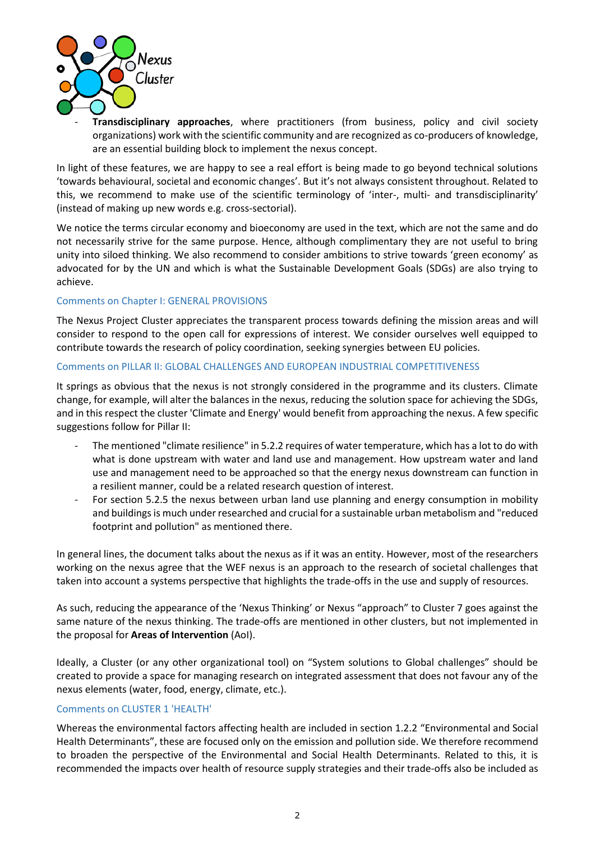

- **Transdisciplinary approaches**, where practitioners (from business, policy and civil society organizations) work with the scientific community and are recognized as co-producers of knowledge, are an essential building block to implement the nexus concept.

In light of these features, we are happy to see a real effort is being made to go beyond technical solutions 'towards behavioural, societal and economic changes'. But it's not always consistent throughout. Related to this, we recommend to make use of the scientific terminology of 'inter-, multi- and transdisciplinarity' (instead of making up new words e.g. cross-sectorial).

We notice the terms circular economy and bioeconomy are used in the text, which are not the same and do not necessarily strive for the same purpose. Hence, although complimentary they are not useful to bring unity into siloed thinking. We also recommend to consider ambitions to strive towards 'green economy' as advocated for by the UN and which is what the Sustainable Development Goals (SDGs) are also trying to achieve.

## Comments on Chapter I: GENERAL PROVISIONS

The Nexus Project Cluster appreciates the transparent process towards defining the mission areas and will consider to respond to the open call for expressions of interest. We consider ourselves well equipped to contribute towards the research of policy coordination, seeking synergies between EU policies.

## Comments on PILLAR II: GLOBAL CHALLENGES AND EUROPEAN INDUSTRIAL COMPETITIVENESS

It springs as obvious that the nexus is not strongly considered in the programme and its clusters. Climate change, for example, will alter the balances in the nexus, reducing the solution space for achieving the SDGs, and in this respect the cluster 'Climate and Energy' would benefit from approaching the nexus. A few specific suggestions follow for Pillar II:

- The mentioned "climate resilience" in 5.2.2 requires of water temperature, which has a lot to do with what is done upstream with water and land use and management. How upstream water and land use and management need to be approached so that the energy nexus downstream can function in a resilient manner, could be a related research question of interest.
- For section 5.2.5 the nexus between urban land use planning and energy consumption in mobility and buildings is much under researched and crucial for a sustainable urban metabolism and "reduced footprint and pollution" as mentioned there.

In general lines, the document talks about the nexus as if it was an entity. However, most of the researchers working on the nexus agree that the WEF nexus is an approach to the research of societal challenges that taken into account a systems perspective that highlights the trade-offs in the use and supply of resources.

As such, reducing the appearance of the 'Nexus Thinking' or Nexus "approach" to Cluster 7 goes against the same nature of the nexus thinking. The trade-offs are mentioned in other clusters, but not implemented in the proposal for **Areas of Intervention** (AoI).

Ideally, a Cluster (or any other organizational tool) on "System solutions to Global challenges" should be created to provide a space for managing research on integrated assessment that does not favour any of the nexus elements (water, food, energy, climate, etc.).

### Comments on CLUSTER 1 'HEALTH'

Whereas the environmental factors affecting health are included in section 1.2.2 "Environmental and Social Health Determinants", these are focused only on the emission and pollution side. We therefore recommend to broaden the perspective of the Environmental and Social Health Determinants. Related to this, it is recommended the impacts over health of resource supply strategies and their trade-offs also be included as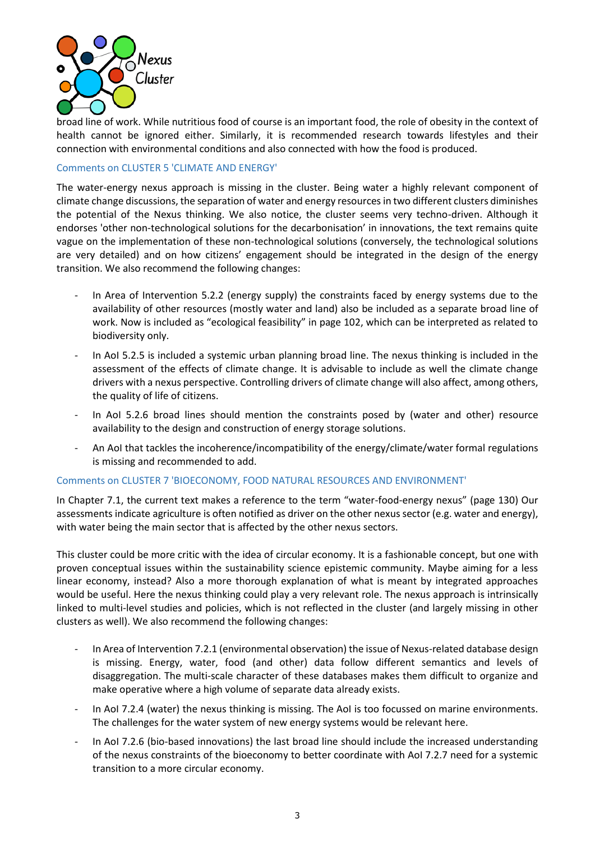

broad line of work. While nutritious food of course is an important food, the role of obesity in the context of health cannot be ignored either. Similarly, it is recommended research towards lifestyles and their connection with environmental conditions and also connected with how the food is produced.

## Comments on CLUSTER 5 'CLIMATE AND ENERGY'

The water-energy nexus approach is missing in the cluster. Being water a highly relevant component of climate change discussions, the separation of water and energy resources in two different clusters diminishes the potential of the Nexus thinking. We also notice, the cluster seems very techno-driven. Although it endorses 'other non-technological solutions for the decarbonisation' in innovations, the text remains quite vague on the implementation of these non-technological solutions (conversely, the technological solutions are very detailed) and on how citizens' engagement should be integrated in the design of the energy transition. We also recommend the following changes:

- In Area of Intervention 5.2.2 (energy supply) the constraints faced by energy systems due to the availability of other resources (mostly water and land) also be included as a separate broad line of work. Now is included as "ecological feasibility" in page 102, which can be interpreted as related to biodiversity only.
- In AoI 5.2.5 is included a systemic urban planning broad line. The nexus thinking is included in the assessment of the effects of climate change. It is advisable to include as well the climate change drivers with a nexus perspective. Controlling drivers of climate change will also affect, among others, the quality of life of citizens.
- In AoI 5.2.6 broad lines should mention the constraints posed by (water and other) resource availability to the design and construction of energy storage solutions.
- An AoI that tackles the incoherence/incompatibility of the energy/climate/water formal regulations is missing and recommended to add.

### Comments on CLUSTER 7 'BIOECONOMY, FOOD NATURAL RESOURCES AND ENVIRONMENT'

In Chapter 7.1, the current text makes a reference to the term "water-food-energy nexus" (page 130) Our assessments indicate agriculture is often notified as driver on the other nexus sector (e.g. water and energy), with water being the main sector that is affected by the other nexus sectors.

This cluster could be more critic with the idea of circular economy. It is a fashionable concept, but one with proven conceptual issues within the sustainability science epistemic community. Maybe aiming for a less linear economy, instead? Also a more thorough explanation of what is meant by integrated approaches would be useful. Here the nexus thinking could play a very relevant role. The nexus approach is intrinsically linked to multi-level studies and policies, which is not reflected in the cluster (and largely missing in other clusters as well). We also recommend the following changes:

- In Area of Intervention 7.2.1 (environmental observation) the issue of Nexus-related database design is missing. Energy, water, food (and other) data follow different semantics and levels of disaggregation. The multi-scale character of these databases makes them difficult to organize and make operative where a high volume of separate data already exists.
- In AoI 7.2.4 (water) the nexus thinking is missing. The AoI is too focussed on marine environments. The challenges for the water system of new energy systems would be relevant here.
- In AoI 7.2.6 (bio-based innovations) the last broad line should include the increased understanding of the nexus constraints of the bioeconomy to better coordinate with AoI 7.2.7 need for a systemic transition to a more circular economy.